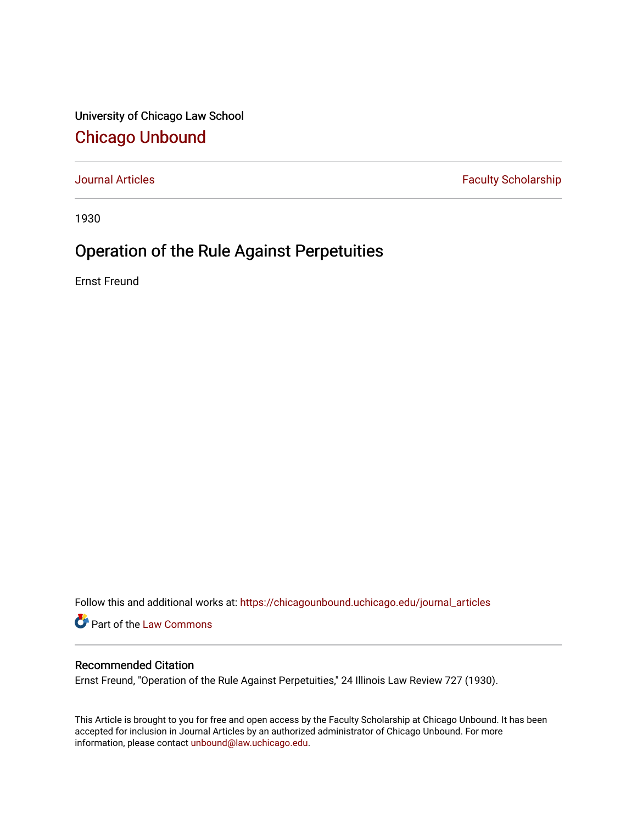University of Chicago Law School [Chicago Unbound](https://chicagounbound.uchicago.edu/)

[Journal Articles](https://chicagounbound.uchicago.edu/journal_articles) **Faculty Scholarship Faculty Scholarship** 

1930

## Operation of the Rule Against Perpetuities

Ernst Freund

Follow this and additional works at: [https://chicagounbound.uchicago.edu/journal\\_articles](https://chicagounbound.uchicago.edu/journal_articles?utm_source=chicagounbound.uchicago.edu%2Fjournal_articles%2F7818&utm_medium=PDF&utm_campaign=PDFCoverPages) 

Part of the [Law Commons](http://network.bepress.com/hgg/discipline/578?utm_source=chicagounbound.uchicago.edu%2Fjournal_articles%2F7818&utm_medium=PDF&utm_campaign=PDFCoverPages)

## Recommended Citation

Ernst Freund, "Operation of the Rule Against Perpetuities," 24 Illinois Law Review 727 (1930).

This Article is brought to you for free and open access by the Faculty Scholarship at Chicago Unbound. It has been accepted for inclusion in Journal Articles by an authorized administrator of Chicago Unbound. For more information, please contact [unbound@law.uchicago.edu](mailto:unbound@law.uchicago.edu).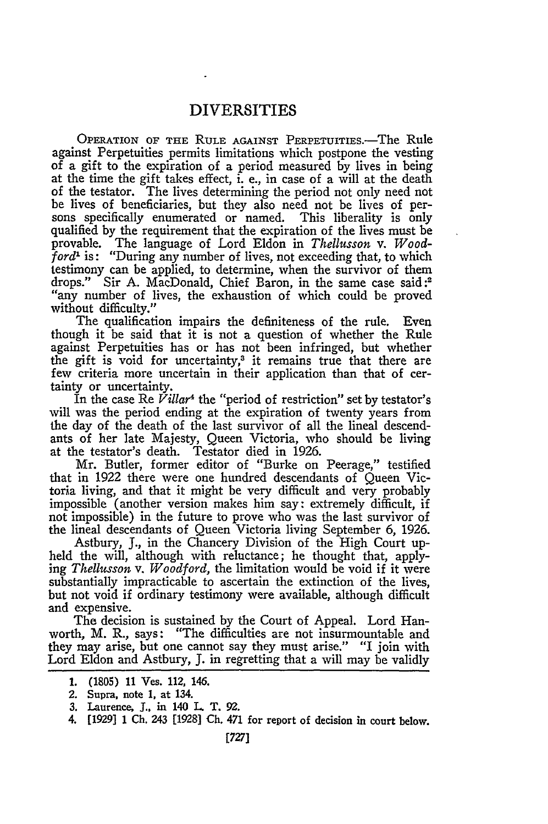## DIVERSITIES

OPERATION OF THE RULE AGAINST PERPETUITIES.—The Rule against Perpetuities permits limitations which postpone the vesting of a gift to the expiration of a period measured by lives in being at the time the gift takes effect, i. e., in case of a will at the death of the testator. The lives determining the period not only need not be lives of beneficiaries, but they also need not be lives of persons specifically enumerated or named. This liberality is only qualified by the requirement that the expiration of the lives must be provable. The language of Lord Eldon in *Thellusson v. Woodford'* is: "During any number of lives, not exceeding that, to which testimony can be applied, to determine, when the survivor of them drops." Sir A. MacDonald, Chief Baron, in the same case said **:2** "any number of lives, the exhaustion of which could be proved without difficulty."

The qualification impairs the definiteness of the rule. Even though it be said that it is not a question of whether the Rule against Perpetuities has or has not been infringed, but whether the gift is void for uncertainty,<sup>3</sup> it remains true that there are few criteria more uncertain in their application than that of certainty or uncertainty.

In the case Re *Villar4* the "period of restriction" set by testator's will was the period ending at the expiration of twenty years from the day of the death of the last survivor of all the lineal descendants of her late Majesty, Queen Victoria, who should be living at the testator's death. Testator died in 1926.

Mr. Butler, former editor of "Burke on Peerage," testified that in 1922 there were one hundred descendants of Queen Victoria living, and that it might be very difficult and very probably impossible (another version makes him say: extremely difficult, if not impossible) in the future to prove who was the last survivor of the lineal descendants of Queen Victoria living September 6, 1926.

Astbury, J., in the Chancery Division of the High Court upheld the will, although with reluctance; he thought that, applying *Thelusson v. Woodford,* the limitation would be void if it were substantially impracticable to ascertain the extinction of the lives, but not void if ordinary testimony were available, although difficult and expensive.

The decision is sustained by the Court of Appeal. Lord Hanworth, M. R., says: "The difficulties are not insurmountable and they may arise, but one cannot say they must arise." "I join with Lord Eldon and Astbury, **J.** in regretting that a will may be validly

- 2. Supra, note 1, at 134.
- **3.** Laurence, **J.,** in 140 L. T. **92.**
- 4. [1929] 1 Ch. 243 [1928] Ch. 471 for report of decision in court below.

**<sup>1.</sup>** (1805) **11** Ves. 112, 146.